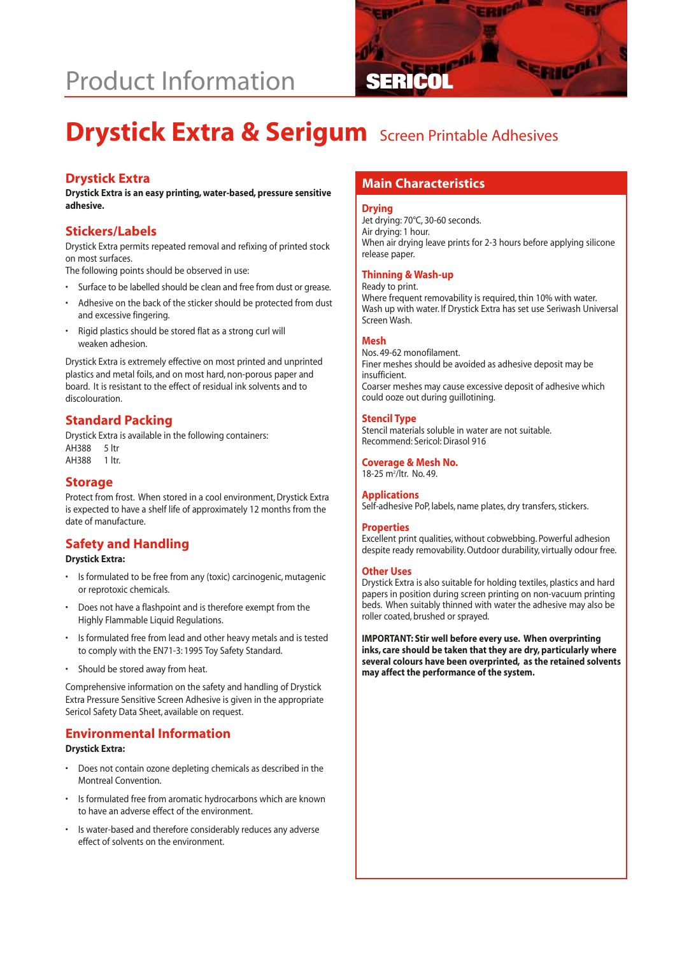# **Product Information**



# **Drystick Extra & Serigum** Screen Printable Adhesives

**Drystick Extra is an easy printing, water-based, pressure sensitive adhesive.**

# **Stickers/Labels**

Drystick Extra permits repeated removal and refixing of printed stock on most surfaces.

The following points should be observed in use:

- Surface to be labelled should be clean and free from dust or grease.
- Adhesive on the back of the sticker should be protected from dust and excessive fingering.
- Rigid plastics should be stored flat as a strong curl will weaken adhesion.

Drystick Extra is extremely effective on most printed and unprinted plastics and metal foils, and on most hard, non-porous paper and board. It is resistant to the effect of residual ink solvents and to discolouration.

# **Standard Packing**

Drystick Extra is available in the following containers: AH388 5 ltr AH388 1 ltr.

### **Storage**

Protect from frost. When stored in a cool environment, Drystick Extra is expected to have a shelf life of approximately 12 months from the date of manufacture.

# **Safety and Handling**

#### **Drystick Extra:**

- Is formulated to be free from any (toxic) carcinogenic, mutagenic or reprotoxic chemicals.
- Does not have a flashpoint and is therefore exempt from the Highly Flammable Liquid Regulations.
- Is formulated free from lead and other heavy metals and is tested to comply with the EN71-3: 1995 Toy Safety Standard.
- Should be stored away from heat.

Comprehensive information on the safety and handling of Drystick Extra Pressure Sensitive Screen Adhesive is given in the appropriate Sericol Safety Data Sheet, available on request.

## **Environmental Information**

#### **Drystick Extra:**

- Does not contain ozone depleting chemicals as described in the Montreal Convention.
- Is formulated free from aromatic hydrocarbons which are known to have an adverse effect of the environment.
- Is water-based and therefore considerably reduces any adverse effect of solvents on the environment.

# **Main Characteristics Drystick Extra**

#### **Drying**

Jet drying: 70°C, 30-60 seconds. Air drying: 1 hour. When air drying leave prints for 2-3 hours before applying silicone release paper.

#### **Thinning & Wash-up**

#### Ready to print.

Where frequent removability is required, thin 10% with water. Wash up with water. If Drystick Extra has set use Seriwash Universal Screen Wash.

### **Mesh**

Nos. 49-62 monofilament. Finer meshes should be avoided as adhesive deposit may be insufficient. Coarser meshes may cause excessive deposit of adhesive which could ooze out during guillotining.

#### **Stencil Type**

Stencil materials soluble in water are not suitable. Recommend: Sericol: Dirasol 916

**Coverage & Mesh No.** 18-25 m2 /ltr. No. 49.

### **Applications**

Self-adhesive PoP, labels, name plates, dry transfers, stickers.

#### **Properties**

Excellent print qualities, without cobwebbing. Powerful adhesion despite ready removability. Outdoor durability, virtually odour free.

#### **Other Uses**

Drystick Extra is also suitable for holding textiles, plastics and hard papers in position during screen printing on non-vacuum printing beds. When suitably thinned with water the adhesive may also be roller coated, brushed or sprayed.

**IMPORTANT: Stir well before every use. When overprinting inks, care should be taken that they are dry, particularly where several colours have been overprinted, as the retained solvents may affect the performance of the system.**